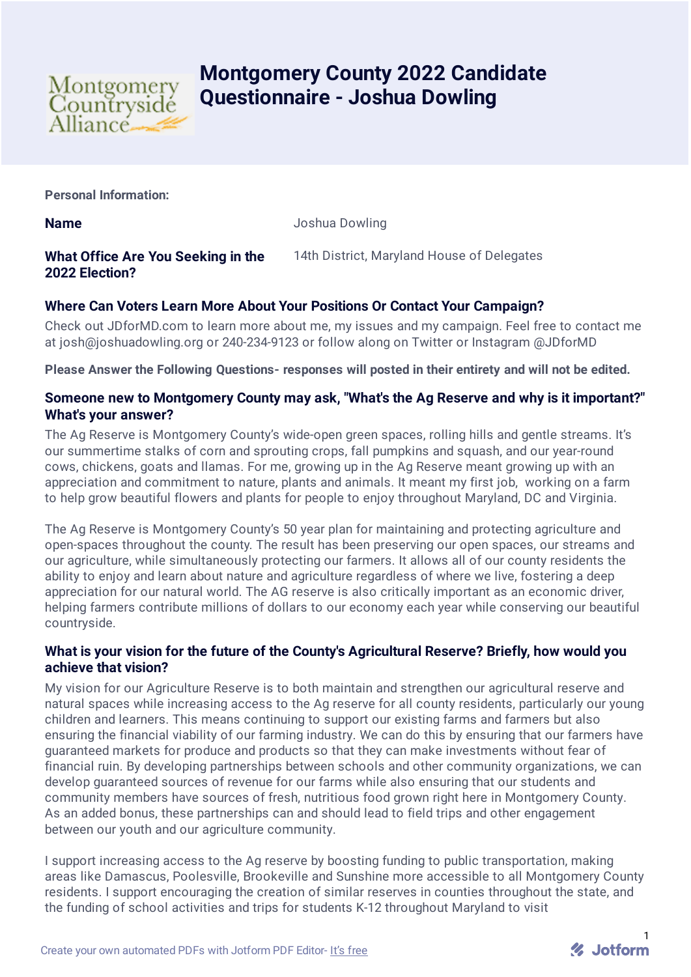

# **Montgomery County 2022 Candidate Questionnaire - Joshua Dowling**

**Personal Information:**

**Name** Joshua Dowling

#### **What Office Are You Seeking in the 2022 Election?** 14th District, Maryland House of Delegates

# **Where Can Voters Learn More About Your Positions Or Contact Your Campaign?**

Check out JDforMD.com to learn more about me, my issues and my campaign. Feel free to contact me at josh@joshuadowling.org or 240-234-9123 or follow along on Twitter or Instagram @JDforMD

**Please Answer the Following Questions- responses will posted in their entirety and will not be edited.**

### **Someone new to Montgomery County may ask, "What's the Ag Reserve and why is it important?" What's your answer?**

The Ag Reserve is Montgomery County's wide-open green spaces, rolling hills and gentle streams. It's our summertime stalks of corn and sprouting crops, fall pumpkins and squash, and our year-round cows, chickens, goats and llamas. For me, growing up in the Ag Reserve meant growing up with an appreciation and commitment to nature, plants and animals. It meant my first job, working on a farm to help grow beautiful flowers and plants for people to enjoy throughout Maryland, DC and Virginia.

The Ag Reserve is Montgomery County's 50 year plan for maintaining and protecting agriculture and open-spaces throughout the county. The result has been preserving our open spaces, our streams and our agriculture, while simultaneously protecting our farmers. It allows all of our county residents the ability to enjoy and learn about nature and agriculture regardless of where we live, fostering a deep appreciation for our natural world. The AG reserve is also critically important as an economic driver, helping farmers contribute millions of dollars to our economy each year while conserving our beautiful countryside.

# **What is your vision for the future of the County's Agricultural Reserve? Briefly, how would you achieve that vision?**

My vision for our Agriculture Reserve is to both maintain and strengthen our agricultural reserve and natural spaces while increasing access to the Ag reserve for all county residents, particularly our young children and learners. This means continuing to support our existing farms and farmers but also ensuring the financial viability of our farming industry. We can do this by ensuring that our farmers have guaranteed markets for produce and products so that they can make investments without fear of financial ruin. By developing partnerships between schools and other community organizations, we can develop guaranteed sources of revenue for our farms while also ensuring that our students and community members have sources of fresh, nutritious food grown right here in Montgomery County. As an added bonus, these partnerships can and should lead to field trips and other engagement between our youth and our agriculture community.

I support increasing access to the Ag reserve by boosting funding to public transportation, making areas like Damascus, Poolesville, Brookeville and Sunshine more accessible to all Montgomery County residents. I support encouraging the creation of similar reserves in counties throughout the state, and the funding of school activities and trips for students K-12 throughout Maryland to visit

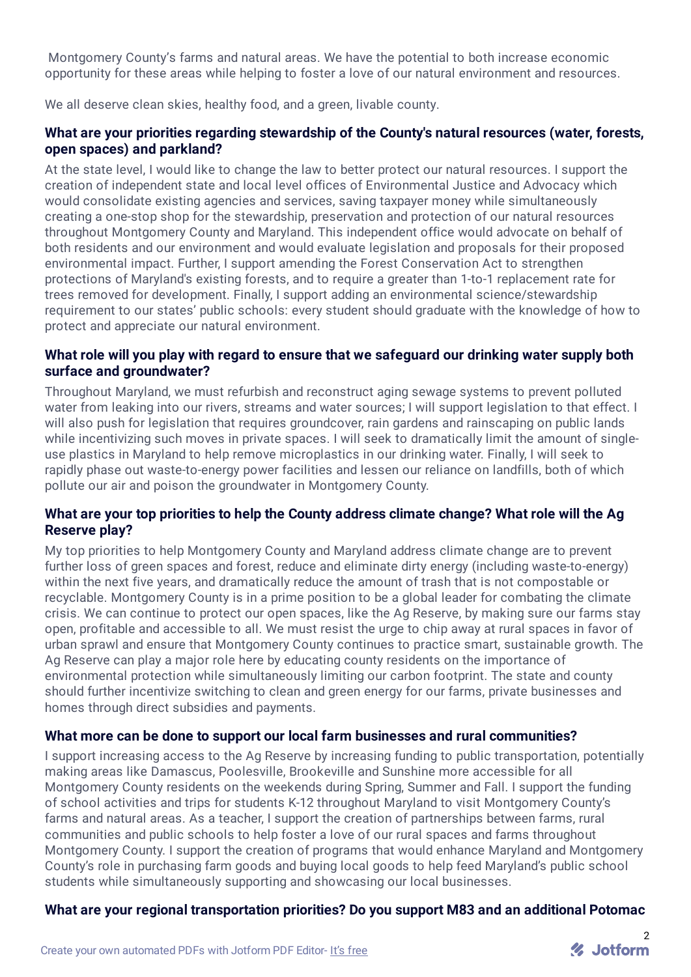Montgomery County's farms and natural areas. We have the potential to both increase economic opportunity for these areas while helping to foster a love of our natural environment and resources.

We all deserve clean skies, healthy food, and a green, livable county.

#### **What are your priorities regarding stewardship of the County's natural resources (water, forests, open spaces) and parkland?**

At the state level, I would like to change the law to better protect our natural resources. I support the creation of independent state and local level offices of Environmental Justice and Advocacy which would consolidate existing agencies and services, saving taxpayer money while simultaneously creating a one-stop shop for the stewardship, preservation and protection of our natural resources throughout Montgomery County and Maryland. This independent office would advocate on behalf of both residents and our environment and would evaluate legislation and proposals for their proposed environmental impact. Further, I support amending the Forest Conservation Act to strengthen protections of Maryland's existing forests, and to require a greater than 1-to-1 replacement rate for trees removed for development. Finally, I support adding an environmental science/stewardship requirement to our states' public schools: every student should graduate with the knowledge of how to protect and appreciate our natural environment.

#### **What role will you play with regard to ensure that we safeguard our drinking water supply both surface and groundwater?**

Throughout Maryland, we must refurbish and reconstruct aging sewage systems to prevent polluted water from leaking into our rivers, streams and water sources; I will support legislation to that effect. I will also push for legislation that requires groundcover, rain gardens and rainscaping on public lands while incentivizing such moves in private spaces. I will seek to dramatically limit the amount of singleuse plastics in Maryland to help remove microplastics in our drinking water. Finally, I will seek to rapidly phase out waste-to-energy power facilities and lessen our reliance on landfills, both of which pollute our air and poison the groundwater in Montgomery County.

### **What are your top priorities to help the County address climate change? What role will the Ag Reserve play?**

My top priorities to help Montgomery County and Maryland address climate change are to prevent further loss of green spaces and forest, reduce and eliminate dirty energy (including waste-to-energy) within the next five years, and dramatically reduce the amount of trash that is not compostable or recyclable. Montgomery County is in a prime position to be a global leader for combating the climate crisis. We can continue to protect our open spaces, like the Ag Reserve, by making sure our farms stay open, profitable and accessible to all. We must resist the urge to chip away at rural spaces in favor of urban sprawl and ensure that Montgomery County continues to practice smart, sustainable growth. The Ag Reserve can play a major role here by educating county residents on the importance of environmental protection while simultaneously limiting our carbon footprint. The state and county should further incentivize switching to clean and green energy for our farms, private businesses and homes through direct subsidies and payments.

#### **What more can be done to support our local farm businesses and rural communities?**

I support increasing access to the Ag Reserve by increasing funding to public transportation, potentially making areas like Damascus, Poolesville, Brookeville and Sunshine more accessible for all Montgomery County residents on the weekends during Spring, Summer and Fall. I support the funding of school activities and trips for students K-12 throughout Maryland to visit Montgomery County's farms and natural areas. As a teacher, I support the creation of partnerships between farms, rural communities and public schools to help foster a love of our rural spaces and farms throughout Montgomery County. I support the creation of programs that would enhance Maryland and Montgomery County's role in purchasing farm goods and buying local goods to help feed Maryland's public school students while simultaneously supporting and showcasing our local businesses.

# **What are your regional transportation priorities? Do you support M83 and an additional Potomac**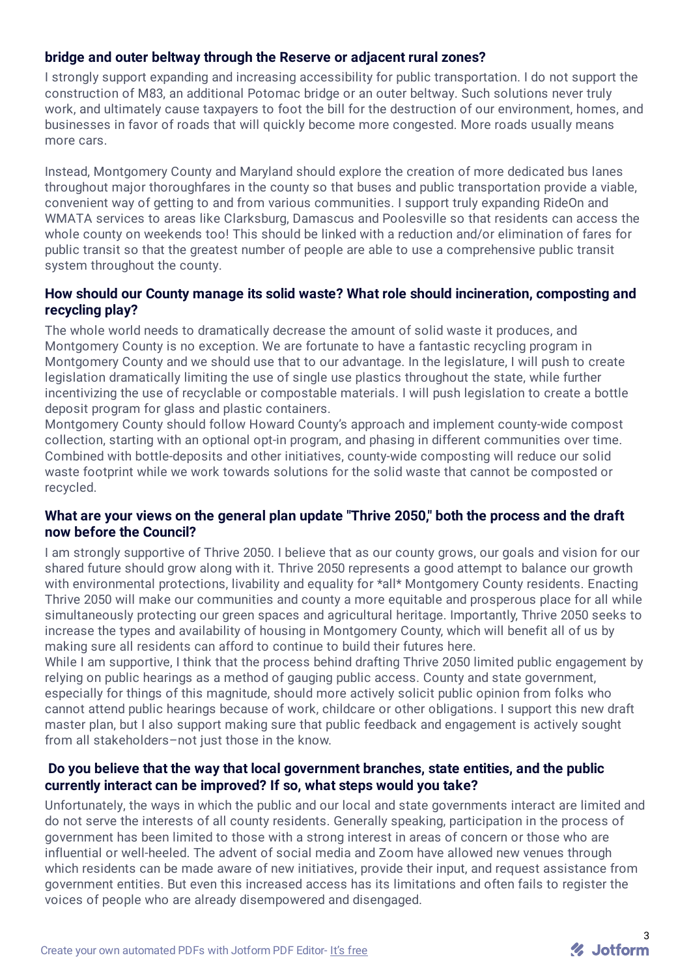### **bridge and outer beltway through the Reserve or adjacent rural zones?**

I strongly support expanding and increasing accessibility for public transportation. I do not support the construction of M83, an additional Potomac bridge or an outer beltway. Such solutions never truly work, and ultimately cause taxpayers to foot the bill for the destruction of our environment, homes, and businesses in favor of roads that will quickly become more congested. More roads usually means more cars.

Instead, Montgomery County and Maryland should explore the creation of more dedicated bus lanes throughout major thoroughfares in the county so that buses and public transportation provide a viable, convenient way of getting to and from various communities. I support truly expanding RideOn and WMATA services to areas like Clarksburg, Damascus and Poolesville so that residents can access the whole county on weekends too! This should be linked with a reduction and/or elimination of fares for public transit so that the greatest number of people are able to use a comprehensive public transit system throughout the county.

#### **How should our County manage its solid waste? What role should incineration, composting and recycling play?**

The whole world needs to dramatically decrease the amount of solid waste it produces, and Montgomery County is no exception. We are fortunate to have a fantastic recycling program in Montgomery County and we should use that to our advantage. In the legislature, I will push to create legislation dramatically limiting the use of single use plastics throughout the state, while further incentivizing the use of recyclable or compostable materials. I will push legislation to create a bottle deposit program for glass and plastic containers.

Montgomery County should follow Howard County's approach and implement county-wide compost collection, starting with an optional opt-in program, and phasing in different communities over time. Combined with bottle-deposits and other initiatives, county-wide composting will reduce our solid waste footprint while we work towards solutions for the solid waste that cannot be composted or recycled.

#### **What are your views on the general plan update "Thrive 2050," both the process and the draft now before the Council?**

I am strongly supportive of Thrive 2050. I believe that as our county grows, our goals and vision for our shared future should grow along with it. Thrive 2050 represents a good attempt to balance our growth with environmental protections, livability and equality for \*all\* Montgomery County residents. Enacting Thrive 2050 will make our communities and county a more equitable and prosperous place for all while simultaneously protecting our green spaces and agricultural heritage. Importantly, Thrive 2050 seeks to increase the types and availability of housing in Montgomery County, which will benefit all of us by making sure all residents can afford to continue to build their futures here.

While I am supportive, I think that the process behind drafting Thrive 2050 limited public engagement by relying on public hearings as a method of gauging public access. County and state government, especially for things of this magnitude, should more actively solicit public opinion from folks who cannot attend public hearings because of work, childcare or other obligations. I support this new draft master plan, but I also support making sure that public feedback and engagement is actively sought from all stakeholders–not just those in the know.

#### **Do you believe that the way that local government branches, state entities, and the public currently interact can be improved? If so, what steps would you take?**

Unfortunately, the ways in which the public and our local and state governments interact are limited and do not serve the interests of all county residents. Generally speaking, participation in the process of government has been limited to those with a strong interest in areas of concern or those who are influential or well-heeled. The advent of social media and Zoom have allowed new venues through which residents can be made aware of new initiatives, provide their input, and request assistance from government entities. But even this increased access has its limitations and often fails to register the voices of people who are already disempowered and disengaged.